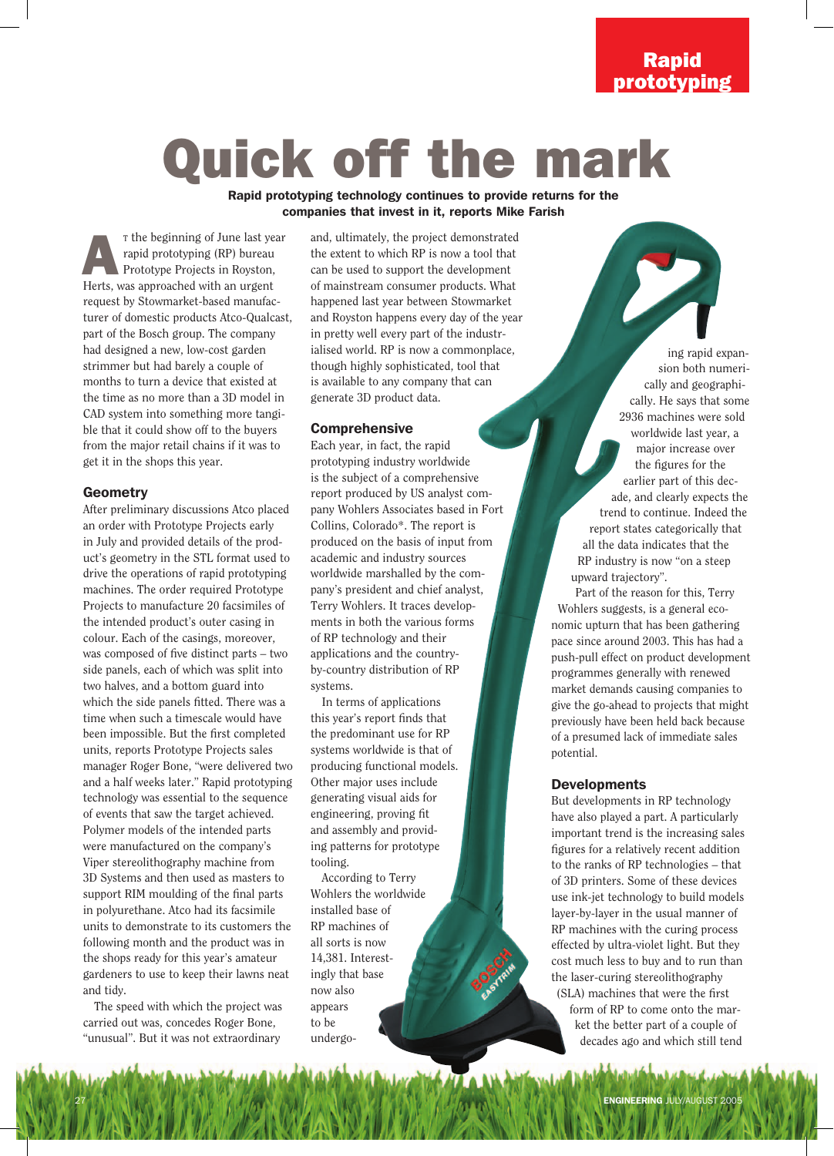## Rapid prototyping

# Quick off the mark

Rapid prototyping technology continues to provide returns for the companies that invest in it, reports Mike Farish

T the beginning of June last year rapid prototyping (RP) bureau Prototype Projects in Royston, The beginning of June last year and prototyping (RP) bureau Prototype Projects in Royston, Herts, was approached with an urgent request by Stowmarket-based manufacturer of domestic products Atco-Qualcast, part of the Bosch group. The company had designed a new, low-cost garden strimmer but had barely a couple of months to turn a device that existed at the time as no more than a 3D model in CAD system into something more tangible that it could show off to the buyers from the major retail chains if it was to get it in the shops this year.

#### **Geometry**

After preliminary discussions Atco placed an order with Prototype Projects early in July and provided details of the product's geometry in the STL format used to drive the operations of rapid prototyping machines. The order required Prototype Projects to manufacture 20 facsimiles of the intended product's outer casing in colour. Each of the casings, moreover, was composed of five distinct parts – two side panels, each of which was split into two halves, and a bottom guard into which the side panels fitted. There was a time when such a timescale would have been impossible. But the first completed units, reports Prototype Projects sales manager Roger Bone, "were delivered two and a half weeks later." Rapid prototyping technology was essential to the sequence of events that saw the target achieved. Polymer models of the intended parts were manufactured on the company's Viper stereolithography machine from 3D Systems and then used as masters to support RIM moulding of the final parts in polyurethane. Atco had its facsimile units to demonstrate to its customers the following month and the product was in the shops ready for this year's amateur gardeners to use to keep their lawns neat and tidy.

The speed with which the project was carried out was, concedes Roger Bone, "unusual". But it was not extraordinary

and, ultimately, the project demonstrated the extent to which RP is now a tool that can be used to support the development of mainstream consumer products. What happened last year between Stowmarket and Royston happens every day of the year in pretty well every part of the industrialised world. RP is now a commonplace, though highly sophisticated, tool that is available to any company that can generate 3D product data.

#### Comprehensive

Each year, in fact, the rapid prototyping industry worldwide is the subject of a comprehensive report produced by US analyst company Wohlers Associates based in Fort Collins, Colorado\*. The report is produced on the basis of input from academic and industry sources worldwide marshalled by the company's president and chief analyst, Terry Wohlers. It traces developments in both the various forms of RP technology and their applications and the countryby-country distribution of RP systems.

In terms of applications this year's report finds that the predominant use for RP systems worldwide is that of producing functional models. Other major uses include generating visual aids for engineering, proving fit and assembly and providing patterns for prototype tooling.

According to Terry Wohlers the worldwide installed base of RP machines of all sorts is now 14,381. Interestingly that base now also appears to be undergo-

ing rapid expansion both numerically and geographically. He says that some 2936 machines were sold worldwide last year, a major increase over the figures for the earlier part of this decade, and clearly expects the trend to continue. Indeed the report states categorically that all the data indicates that the RP industry is now "on a steep upward trajectory".

Part of the reason for this, Terry Wohlers suggests, is a general economic upturn that has been gathering pace since around 2003. This has had a push-pull effect on product development programmes generally with renewed market demands causing companies to give the go-ahead to projects that might previously have been held back because of a presumed lack of immediate sales potential.

#### **Developments**

But developments in RP technology have also played a part. A particularly important trend is the increasing sales figures for a relatively recent addition to the ranks of RP technologies – that of 3D printers. Some of these devices use ink-jet technology to build models layer-by-layer in the usual manner of RP machines with the curing process effected by ultra-violet light. But they cost much less to buy and to run than the laser-curing stereolithography (SLA) machines that were the first

form of RP to come onto the market the better part of a couple of decades ago and which still tend